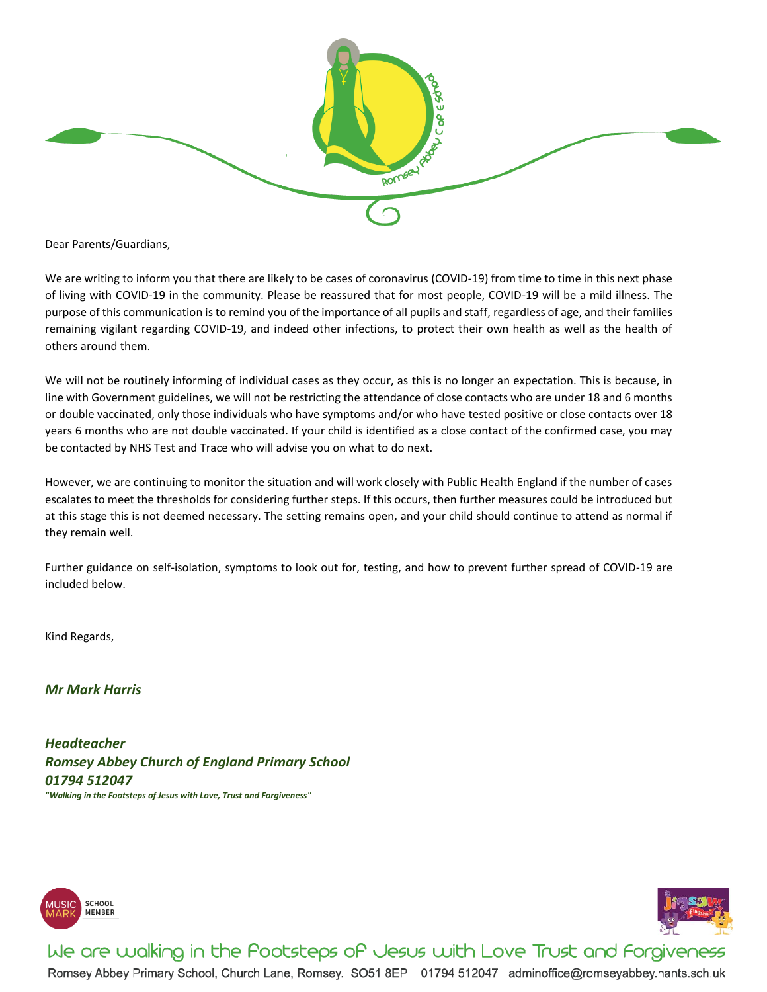

Dear Parents/Guardians,

We are writing to inform you that there are likely to be cases of coronavirus (COVID-19) from time to time in this next phase of living with COVID-19 in the community. Please be reassured that for most people, COVID-19 will be a mild illness. The purpose of this communication is to remind you of the importance of all pupils and staff, regardless of age, and their families remaining vigilant regarding COVID-19, and indeed other infections, to protect their own health as well as the health of others around them.

We will not be routinely informing of individual cases as they occur, as this is no longer an expectation. This is because, in line with Government guidelines, we will not be restricting the attendance of close contacts who are under 18 and 6 months or double vaccinated, only those individuals who have symptoms and/or who have tested positive or close contacts over 18 years 6 months who are not double vaccinated. If your child is identified as a close contact of the confirmed case, you may be contacted by NHS Test and Trace who will advise you on what to do next.

However, we are continuing to monitor the situation and will work closely with Public Health England if the number of cases escalates to meet the thresholds for considering further steps. If this occurs, then further measures could be introduced but at this stage this is not deemed necessary. The setting remains open, and your child should continue to attend as normal if they remain well.

Further guidance on self-isolation, symptoms to look out for, testing, and how to prevent further spread of COVID-19 are included below.

Kind Regards,

*Mr Mark Harris*

*Headteacher Romsey Abbey Church of England Primary School 01794 512047 "Walking in the Footsteps of Jesus with Love, Trust and Forgiveness"*





We are walking in the Pootsteps of Jesus with Love Trust and Forgiveness Romsey Abbey Primary School, Church Lane, Romsey. SO51 8EP 01794 512047 adminoffice@romseyabbey.hants.sch.uk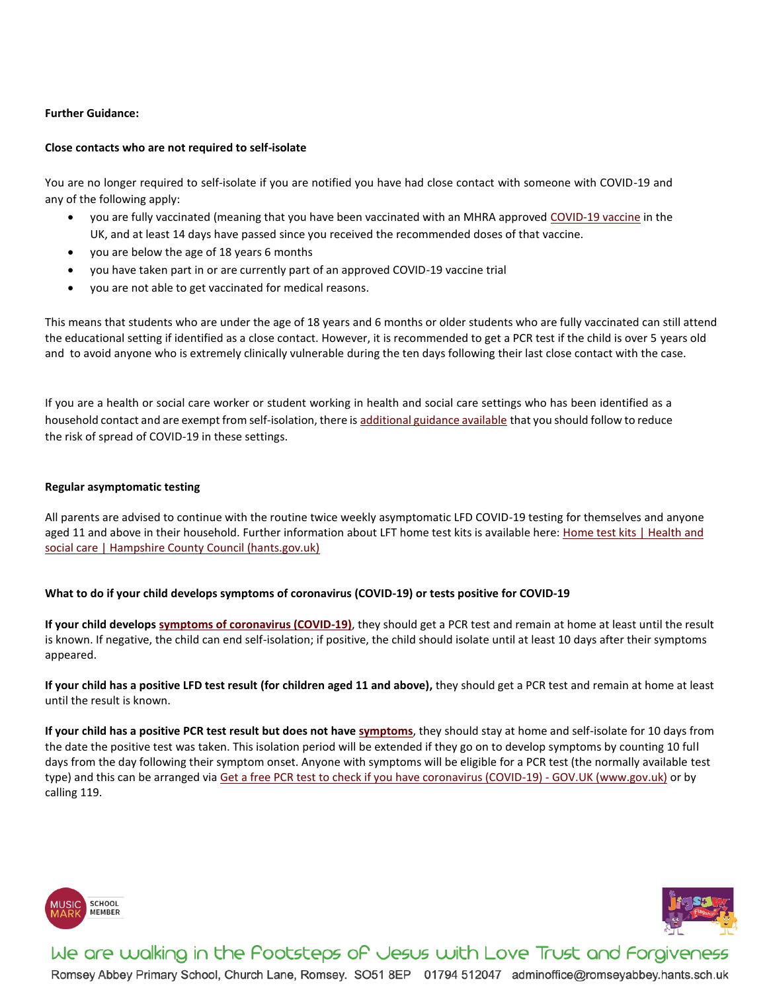## **Further Guidance:**

## **Close contacts who are not required to self-isolate**

You are no longer required to self-isolate if you are notified you have had close contact with someone with COVID-19 and any of the following apply:

- you are fully vaccinated (meaning that you have been vaccinated with an MHRA approved [COVID-19 vaccine](https://www.nhs.uk/conditions/coronavirus-covid-19/coronavirus-vaccination/coronavirus-vaccine/) in the UK, and at least 14 days have passed since you received the recommended doses of that vaccine.
- you are below the age of 18 years 6 months
- you have taken part in or are currently part of an approved COVID-19 vaccine trial
- you are not able to get vaccinated for medical reasons.

This means that students who are under the age of 18 years and 6 months or older students who are fully vaccinated can still attend the educational setting if identified as a close contact. However, it is recommended to get a PCR test if the child is over 5 years old and to avoid anyone who is extremely clinically vulnerable during the ten days following their last close contact with the case.

If you are a health or social care worker or student working in health and social care settings who has been identified as a household contact and are exempt from self-isolation, there is [additional guidance available](https://www.gov.uk/government/publications/covid-19-management-of-exposed-healthcare-workers-and-patients-in-hospital-settings/covid-19-management-of-exposed-healthcare-workers-and-patients-in-hospital-settings) that you should follow to reduce the risk of spread of COVID-19 in these settings.

### **Regular asymptomatic testing**

All parents are advised to continue with the routine twice weekly asymptomatic LFD COVID-19 testing for themselves and anyone aged 11 and above in their household. Further information about LFT home test kits is available here[: Home test kits | Health](https://www.hants.gov.uk/socialcareandhealth/coronavirus/test-and-trace/home-test-kit) and [social care | Hampshire County Council \(hants.gov.uk\)](https://www.hants.gov.uk/socialcareandhealth/coronavirus/test-and-trace/home-test-kit)

## **What to do if your child develops symptoms of coronavirus (COVID-19) or tests positive for COVID-19**

**If your child develops [symptoms of coronavirus \(COVID-19\)](https://www.nhs.uk/conditions/coronavirus-covid-19/symptoms/)**, they should get a PCR test and remain at home at least until the result is known. If negative, the child can end self-isolation; if positive, the child should isolate until at least 10 days after their symptoms appeared.

**If your child has a positive LFD test result (for children aged 11 and above),** they should get a PCR test and remain at home at least until the result is known.

**If your child has a positive PCR test result but does not have [symptoms](https://www.gov.uk/government/publications/covid-19-stay-at-home-guidance/stay-at-home-guidance-for-households-with-possible-coronavirus-covid-19-infection#symptoms)**, they should stay at home and self-isolate for 10 days from the date the positive test was taken. This isolation period will be extended if they go on to develop symptoms by counting 10 full days from the day following their symptom onset. Anyone with symptoms will be eligible for a PCR test (the normally available test type) and this can be arranged via [Get a free PCR test to check if you have coronavirus \(COVID-19\) -](https://www.gov.uk/get-coronavirus-test) GOV.UK (www.gov.uk) or by calling 119.





We are walking in the Pootsteps of Jesus with Love Trust and Forgiveness Romsey Abbey Primary School, Church Lane, Romsey. SO51 8EP 01794 512047 adminoffice@romseyabbey.hants.sch.uk